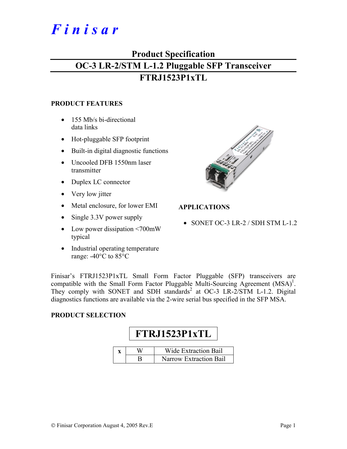# *F i n i s a r*

## **Product Specification OC-3 LR-2/STM L-1.2 Pluggable SFP Transceiver FTRJ1523P1xTL**

#### **PRODUCT FEATURES**

- 155 Mb/s bi-directional data links
- Hot-pluggable SFP footprint
- Built-in digital diagnostic functions
- Uncooled DFB 1550nm laser transmitter
- Duplex LC connector
- Very low jitter
- Metal enclosure, for lower EMI
- Single 3.3V power supply
- Low power dissipation <700mW typical
- Industrial operating temperature range: -40°C to 85°C



#### **APPLICATIONS**

• SONET OC-3 LR-2 / SDH STM L-1.2

Finisar's FTRJ1523P1xTL Small Form Factor Pluggable (SFP) transceivers are compatible with the Small Form Factor Pluggable Multi-Sourcing Agreement  $(MSA)^1$ . They comply with SONET and SDH standards<sup>2</sup> at OC-3 LR-2/STM L-1.2. Digital diagnostics functions are available via the 2-wire serial bus specified in the SFP MSA.

#### **PRODUCT SELECTION**

# **FTRJ1523P1xTL**

|  | Wide Extraction Bail   |
|--|------------------------|
|  | Narrow Extraction Bail |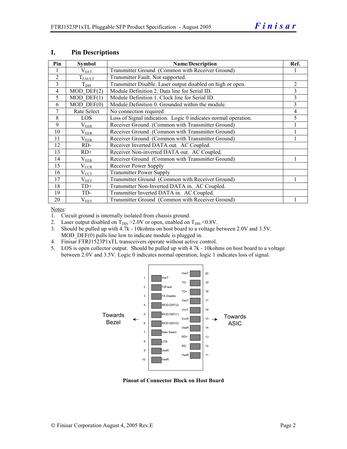| Pin            | <b>Symbol</b>         | <b>Name/Description</b>                                        |   |  |  |
|----------------|-----------------------|----------------------------------------------------------------|---|--|--|
|                | $\rm V_{EET}$         | Transmitter Ground (Common with Receiver Ground)               |   |  |  |
| 2              | $T_{FALLT}$           | Transmitter Fault. Not supported.                              |   |  |  |
| 3              | $T_{\text{DIS}}$      | Transmitter Disable. Laser output disabled on high or open.    | 2 |  |  |
| $\overline{4}$ | $MOD$ $DEF(2)$        | Module Definition 2. Data line for Serial ID.                  | 3 |  |  |
| 5              | $MOD$ DEF $(1)$       | Module Definition 1. Clock line for Serial ID.                 | 3 |  |  |
| 6              | $MOD$ $DEF(0)$        | Module Definition 0. Grounded within the module.               | 3 |  |  |
| 7              | Rate Select           | No connection required                                         | 4 |  |  |
| 8              | <b>LOS</b>            | Loss of Signal indication. Logic 0 indicates normal operation. | 5 |  |  |
| $\mathbf Q$    | $\rm V_{EER}$         | Receiver Ground (Common with Transmitter Ground)               |   |  |  |
| 10             | $\rm V_{EER}$         | Receiver Ground (Common with Transmitter Ground)               |   |  |  |
| 11             | $\rm V_{EER}$         | Receiver Ground (Common with Transmitter Ground)               |   |  |  |
| 12             | RD-                   | Receiver Inverted DATA out. AC Coupled.                        |   |  |  |
| 13             | $RD+$                 | Receiver Non-inverted DATA out. AC Coupled.                    |   |  |  |
| 14             | $\rm V_{EER}$         | Receiver Ground (Common with Transmitter Ground)               |   |  |  |
| 15             | $V_{\underline{CCR}}$ | Receiver Power Supply                                          |   |  |  |
| 16             | $V_{CCT}$             | <b>Transmitter Power Supply</b>                                |   |  |  |
| 17             | $\rm V_{EET}$         | Transmitter Ground (Common with Receiver Ground)               |   |  |  |
| 18             | $TD+$                 | Transmitter Non-Inverted DATA in. AC Coupled.                  |   |  |  |
| 19             | TD-                   | Transmitter Inverted DATA in. AC Coupled.                      |   |  |  |
| 20             | $V_{EET}$             | Transmitter Ground (Common with Receiver Ground)               |   |  |  |

#### **I. Pin Descriptions**

Notes:

1. Circuit ground is internally isolated from chassis ground.

- 2. Laser output disabled on  $T_{DIS} > 2.0V$  or open, enabled on  $T_{DIS} < 0.8V$ .
- 3. Should be pulled up with 4.7k 10kohms on host board to a voltage between 2.0V and 3.5V. MOD DEF(0) pulls line low to indicate module is plugged in.
- 4. Finisar FTRJ1523P1xTL transceivers operate without active control.
- 5. LOS is open collector output. Should be pulled up with 4.7k 10kohms on host board to a voltage between 2.0V and 3.5V. Logic 0 indicates normal operation; logic 1 indicates loss of signal.



**Pinout of Connector Block on Host Board**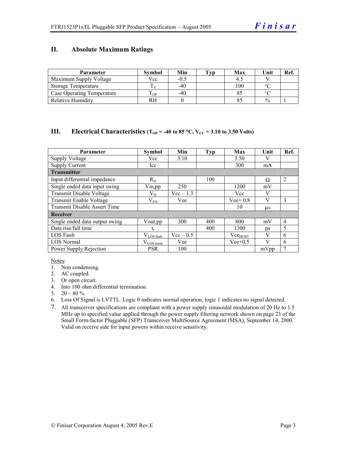#### **II. Absolute Maximum Ratings**

| <b>Parameter</b>                  | <b>Symbol</b> | Min    | Tvp | Max | Unit          | Ref. |
|-----------------------------------|---------------|--------|-----|-----|---------------|------|
| Maximum Supply Voltage            | Vcc           | $-0.5$ |     |     |               |      |
| Storage Temperature               |               | $-40$  |     | 100 | $\circ$       |      |
| <b>Case Operating Temperature</b> | m<br>OP.      | $-40$  |     |     | $\sim$        |      |
| <b>Relative Humidity</b>          | RH            |        |     |     | $\frac{0}{0}$ |      |

#### **III.** Electrical Characteristics ( $T_{OP}$  = -40 to 85 °C,  $V_{CC}$  = 3.10 to 3.50 Volts)

| <b>Parameter</b>                    | <b>Symbol</b>          | Min         | <b>Typ</b> | Max          | Unit    | Ref.           |
|-------------------------------------|------------------------|-------------|------------|--------------|---------|----------------|
| <b>Supply Voltage</b>               | Vcc                    | 3.10        |            | 3.50         |         |                |
| <b>Supply Current</b>               | Icc                    |             |            | 300          | mA      |                |
| <b>Transmitter</b>                  |                        |             |            |              |         |                |
| Input differential impedance        | $R_{in}$               |             | 100        |              | Ω       | $\overline{2}$ |
| Single ended data input swing       | Vin, pp                | 250         |            | 1200         | mV      |                |
| Transmit Disable Voltage            | $\rm V_{D}$            | $Vec-1.3$   |            | Vcc          | V       |                |
| Transmit Enable Voltage             | $\rm V_{EN}$           | Vee         |            | $Vee+0.8$    | V       | 3              |
| <b>Transmit Disable Assert Time</b> |                        |             |            | 10           | $\mu$ s |                |
| Receiver                            |                        |             |            |              |         |                |
| Single ended data output swing      | Vout, pp.              | 300         | 400        | 800          | mV      | $\overline{4}$ |
| Data rise/fall time                 | t,                     |             | 400        | 1300         | ps      | 5              |
| <b>LOS</b> Fault                    | $V_{\text{LOS}}$ fault | $Vec - 0.5$ |            | $Vec_{HOST}$ | V       | 6              |
| <b>LOS Normal</b>                   | $V_{LOS\,norm}$        | Vee         |            | $Vee+0.5$    | V       | 6              |
| Power Supply Rejection              | <b>PSR</b>             | 100         |            |              | mVpp    | 7              |

Notes:

- 1. Non condensing.
- 2. AC coupled.
- 3. Or open circuit.
- 4. Into 100 ohm differential termination.
- 5.  $20 80 \%$
- 6. Loss Of Signal is LVTTL. Logic 0 indicates normal operation; logic 1 indicates no signal detected.
- 7. All transceiver specifications are compliant with a power supply sinusoidal modulation of 20 Hz to 1.5 MHz up to specified value applied through the power supply filtering network shown on page 23 of the Small Form-factor Pluggable (SFP) Transceiver MultiSource Agreement (MSA), September 14, 2000. Valid on receive side for input powers within receive sensitivity.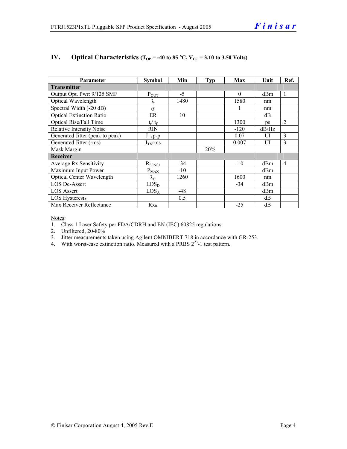| Parameter                        | <b>Symbol</b>     | Min   | <b>Typ</b> | Max      | Unit      | Ref.           |
|----------------------------------|-------------------|-------|------------|----------|-----------|----------------|
| <b>Transmitter</b>               |                   |       |            |          |           |                |
| Output Opt. Pwr: 9/125 SMF       | $P_{\text{OUT}}$  | $-5$  |            | $\theta$ | dBm       | 1              |
| Optical Wavelength               | λ                 | 1480  |            | 1580     | nm        |                |
| Spectral Width (-20 dB)          | $\sigma$          |       |            |          | nm        |                |
| <b>Optical Extinction Ratio</b>  | ER                | 10    |            |          | dB        |                |
| Optical Rise/Fall Time           | $t_r / t_f$       |       |            | 1300     | <b>DS</b> | $\overline{2}$ |
| <b>Relative Intensity Noise</b>  | <b>RIN</b>        |       |            | $-120$   | dB/Hz     |                |
| Generated Jitter (peak to peak)  | $J_{TX}p-p$       |       |            | 0.07     | UI        | 3              |
| Generated Jitter (rms)           | $J_{TX}$ rms      |       |            | 0.007    | UI        | 3              |
| Mask Margin                      |                   |       | 20%        |          |           |                |
| Receiver                         |                   |       |            |          |           |                |
| Average Rx Sensitivity           | $R_{SENS1}$       | $-34$ |            | $-10$    | dBm       | 4              |
| Maximum Input Power              | $P_{MAX}$         | $-10$ |            |          | dBm       |                |
| <b>Optical Center Wavelength</b> | $\lambda_{\rm C}$ | 1260  |            | 1600     | nm        |                |
| LOS De-Assert                    | LOS <sub>D</sub>  |       |            | $-34$    | dBm       |                |
| <b>LOS Assert</b>                | LOS <sub>A</sub>  | $-48$ |            |          | dBm       |                |
| LOS Hysteresis                   |                   | 0.5   |            |          | dB        |                |
| Max Receiver Reflectance         | $Rx_R$            |       |            | $-25$    | dB        |                |

#### **IV.** Optical Characteristics ( $T_{OP}$  = -40 to 85 °C,  $V_{CC}$  = 3.10 to 3.50 Volts)

Notes:

1. Class 1 Laser Safety per FDA/CDRH and EN (IEC) 60825 regulations.

2. Unfiltered, 20-80%

- 3. Jitter measurements taken using Agilent OMNIBERT 718 in accordance with GR-253.
- 4. With worst-case extinction ratio. Measured with a PRBS  $2^{23}$ -1 test pattern.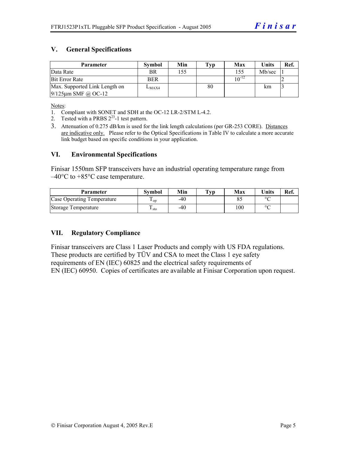#### **V. General Specifications**

| <b>Parameter</b>              | <b>Symbol</b> | Min | Typ | Max        | <b>Units</b> | Ref. |
|-------------------------------|---------------|-----|-----|------------|--------------|------|
| Data Rate                     | <b>BR</b>     | 155 |     | 155        | Mb/sec       |      |
| <b>Bit Error Rate</b>         | <b>BER</b>    |     |     | $10^{-12}$ |              |      |
| Max. Supported Link Length on | $L_{MAX4}$    |     | 80  |            | km           |      |
| $9/125$ µm SMF @ OC-12        |               |     |     |            |              |      |

Notes:

- 1. Compliant with SONET and SDH at the OC-12 LR-2/STM L-4.2.
- 2. Tested with a PRBS  $2^{23}$ -1 test pattern.
- 3. Attenuation of 0.275 dB/km is used for the link length calculations (per GR-253 CORE). Distances are indicative only. Please refer to the Optical Specifications in Table IV to calculate a more accurate link budget based on specific conditions in your application.

#### **VI. Environmental Specifications**

Finisar 1550nm SFP transceivers have an industrial operating temperature range from  $-40^{\circ}$ C to  $+85^{\circ}$ C case temperature.

| Parameter                  | Svmbol | Min | $\mathbf{T}_{\mathbf{V}\mathbf{p}}$ | Max | <b>Units</b> | Ref. |
|----------------------------|--------|-----|-------------------------------------|-----|--------------|------|
| Case Operating Temperature | ' op   | -40 |                                     |     | $\circ$      |      |
| Storage Temperature        | ⊥ sto  | -40 |                                     | 100 | $\sim$       |      |

#### **VII. Regulatory Compliance**

Finisar transceivers are Class 1 Laser Products and comply with US FDA regulations. These products are certified by TÜV and CSA to meet the Class 1 eye safety requirements of EN (IEC) 60825 and the electrical safety requirements of EN (IEC) 60950. Copies of certificates are available at Finisar Corporation upon request.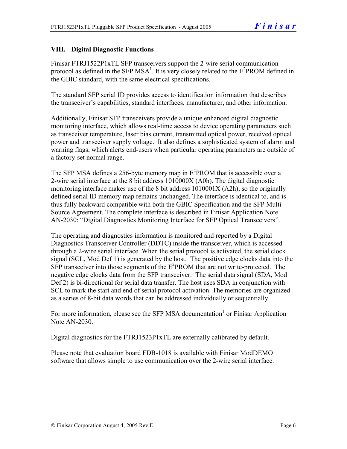#### **VIII. Digital Diagnostic Functions**

Finisar FTRJ1522P1xTL SFP transceivers support the 2-wire serial communication protocol as defined in the SFP MSA<sup>1</sup>. It is very closely related to the  $E^2$ PROM defined in the GBIC standard, with the same electrical specifications.

The standard SFP serial ID provides access to identification information that describes the transceiver's capabilities, standard interfaces, manufacturer, and other information.

Additionally, Finisar SFP transceivers provide a unique enhanced digital diagnostic monitoring interface, which allows real-time access to device operating parameters such as transceiver temperature, laser bias current, transmitted optical power, received optical power and transceiver supply voltage. It also defines a sophisticated system of alarm and warning flags, which alerts end-users when particular operating parameters are outside of a factory-set normal range.

The SFP MSA defines a 256-byte memory map in  $E^2$ PROM that is accessible over a 2-wire serial interface at the 8 bit address 1010000X (A0h). The digital diagnostic monitoring interface makes use of the 8 bit address 1010001X (A2h), so the originally defined serial ID memory map remains unchanged. The interface is identical to, and is thus fully backward compatible with both the GBIC Specification and the SFP Multi Source Agreement. The complete interface is described in Finisar Application Note AN-2030: "Digital Diagnostics Monitoring Interface for SFP Optical Transceivers".

The operating and diagnostics information is monitored and reported by a Digital Diagnostics Transceiver Controller (DDTC) inside the transceiver, which is accessed through a 2-wire serial interface. When the serial protocol is activated, the serial clock signal (SCL, Mod Def 1) is generated by the host. The positive edge clocks data into the  $SFP$  transceiver into those segments of the  $E^2$ PROM that are not write-protected. The negative edge clocks data from the SFP transceiver. The serial data signal (SDA, Mod Def 2) is bi-directional for serial data transfer. The host uses SDA in conjunction with SCL to mark the start and end of serial protocol activation. The memories are organized as a series of 8-bit data words that can be addressed individually or sequentially.

For more information, please see the SFP MSA documentation<sup>1</sup> or Finisar Application Note AN-2030.

Digital diagnostics for the FTRJ1523P1xTL are externally calibrated by default.

Please note that evaluation board FDB-1018 is available with Finisar ModDEMO software that allows simple to use communication over the 2-wire serial interface.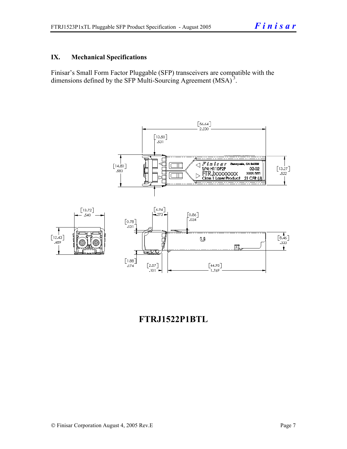#### **IX. Mechanical Specifications**

Finisar's Small Form Factor Pluggable (SFP) transceivers are compatible with the dimensions defined by the SFP Multi-Sourcing Agreement (MSA)<sup>3</sup>.



### **FTRJ1522P1BTL**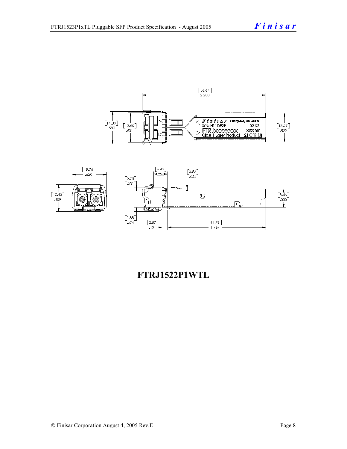



### **FTRJ1522P1WTL**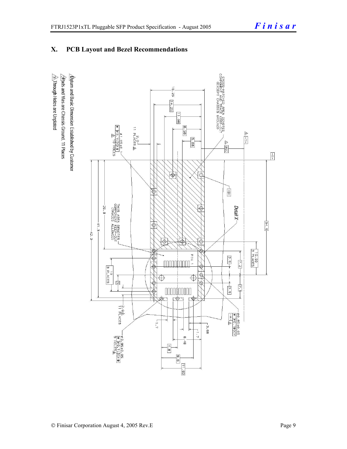#### **X. PCB Layout and Bezel Recommendations**

 $\hat{\triangle}$ Through Holes are Unplated  $\Delta$ atum and Basic Dimension Established by Customer  $\triangle$ Rads and Vias are Chassis Ground, 11 Places

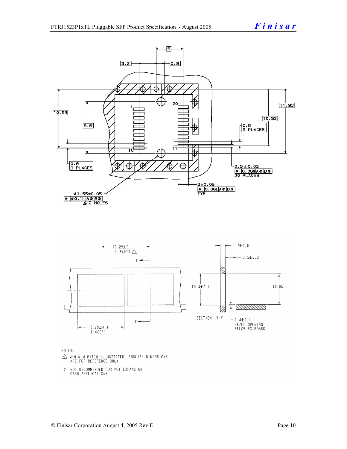

NOTES:

- $\triangle$  MINIMUM PITCH ILLUSTRATED, ENGLISH DIMENSIONS ARE FOR REFERENCE ONLY
- 2. NOT RECOMMENDED FOR PCI EXPANSION CARD APPLICATIONS